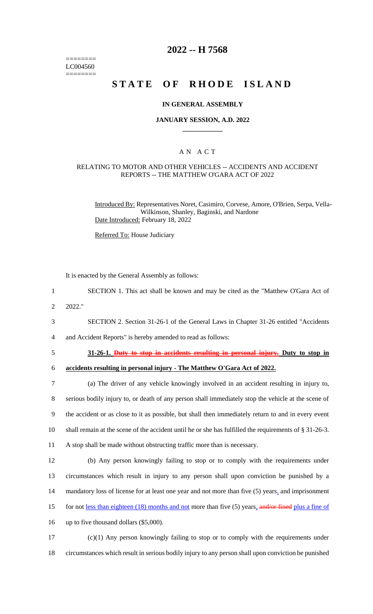======== LC004560 ========

# **2022 -- H 7568**

# **STATE OF RHODE ISLAND**

### **IN GENERAL ASSEMBLY**

### **JANUARY SESSION, A.D. 2022 \_\_\_\_\_\_\_\_\_\_\_\_**

### A N A C T

### RELATING TO MOTOR AND OTHER VEHICLES -- ACCIDENTS AND ACCIDENT REPORTS -- THE MATTHEW O'GARA ACT OF 2022

Introduced By: Representatives Noret, Casimiro, Corvese, Amore, O'Brien, Serpa, Vella-Wilkinson, Shanley, Baginski, and Nardone Date Introduced: February 18, 2022

Referred To: House Judiciary

It is enacted by the General Assembly as follows:

- 1 SECTION 1. This act shall be known and may be cited as the "Matthew O'Gara Act of
- 2 2022."
- 3 SECTION 2. Section 31-26-1 of the General Laws in Chapter 31-26 entitled "Accidents
- 4 and Accident Reports" is hereby amended to read as follows:
- 

# 5 **31-26-1. Duty to stop in accidents resulting in personal injury. Duty to stop in**

6 **accidents resulting in personal injury - The Matthew O'Gara Act of 2022.**

 (a) The driver of any vehicle knowingly involved in an accident resulting in injury to, serious bodily injury to, or death of any person shall immediately stop the vehicle at the scene of the accident or as close to it as possible, but shall then immediately return to and in every event shall remain at the scene of the accident until he or she has fulfilled the requirements of § 31-26-3. A stop shall be made without obstructing traffic more than is necessary.

12 (b) Any person knowingly failing to stop or to comply with the requirements under 13 circumstances which result in injury to any person shall upon conviction be punished by a 14 mandatory loss of license for at least one year and not more than five (5) years, and imprisonment 15 for not <u>less than eighteen (18) months and not</u> more than five (5) years, and/or fined plus a fine of 16 up to five thousand dollars (\$5,000).

17 (c)(1) Any person knowingly failing to stop or to comply with the requirements under 18 circumstances which result in serious bodily injury to any person shall upon conviction be punished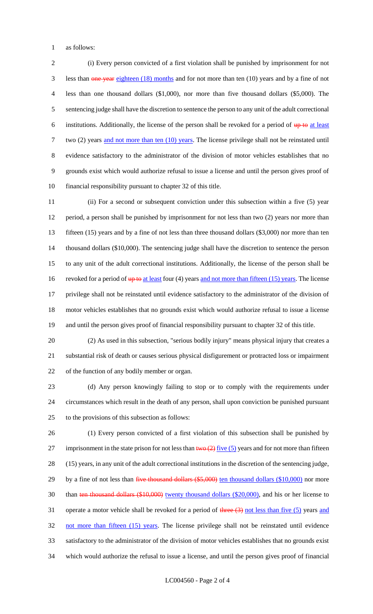as follows:

 (i) Every person convicted of a first violation shall be punished by imprisonment for not 3 less than one year eighteen (18) months and for not more than ten (10) years and by a fine of not less than one thousand dollars (\$1,000), nor more than five thousand dollars (\$5,000). The sentencing judge shall have the discretion to sentence the person to any unit of the adult correctional 6 institutions. Additionally, the license of the person shall be revoked for a period of  $up$  to at least 7 two (2) years and not more than ten (10) years. The license privilege shall not be reinstated until evidence satisfactory to the administrator of the division of motor vehicles establishes that no grounds exist which would authorize refusal to issue a license and until the person gives proof of financial responsibility pursuant to chapter 32 of this title.

 (ii) For a second or subsequent conviction under this subsection within a five (5) year period, a person shall be punished by imprisonment for not less than two (2) years nor more than fifteen (15) years and by a fine of not less than three thousand dollars (\$3,000) nor more than ten thousand dollars (\$10,000). The sentencing judge shall have the discretion to sentence the person to any unit of the adult correctional institutions. Additionally, the license of the person shall be 16 revoked for a period of up to at least four (4) years and not more than fifteen (15) years. The license privilege shall not be reinstated until evidence satisfactory to the administrator of the division of motor vehicles establishes that no grounds exist which would authorize refusal to issue a license and until the person gives proof of financial responsibility pursuant to chapter 32 of this title.

 (2) As used in this subsection, "serious bodily injury" means physical injury that creates a substantial risk of death or causes serious physical disfigurement or protracted loss or impairment of the function of any bodily member or organ.

 (d) Any person knowingly failing to stop or to comply with the requirements under circumstances which result in the death of any person, shall upon conviction be punished pursuant to the provisions of this subsection as follows:

 (1) Every person convicted of a first violation of this subsection shall be punished by 27 imprisonment in the state prison for not less than  $two (2)$  five (5) years and for not more than fifteen (15) years, in any unit of the adult correctional institutions in the discretion of the sentencing judge, 29 by a fine of not less than five thousand dollars (\$5,000) ten thousand dollars (\$10,000) nor more 30 than ten thousand dollars (\$10,000) twenty thousand dollars (\$20,000), and his or her license to 31 operate a motor vehicle shall be revoked for a period of  $\frac{1}{2}$  three  $\left(\frac{3}{2}\right)$  not less than five  $\left(\frac{5}{2}\right)$  years and 32 not more than fifteen (15) years. The license privilege shall not be reinstated until evidence satisfactory to the administrator of the division of motor vehicles establishes that no grounds exist which would authorize the refusal to issue a license, and until the person gives proof of financial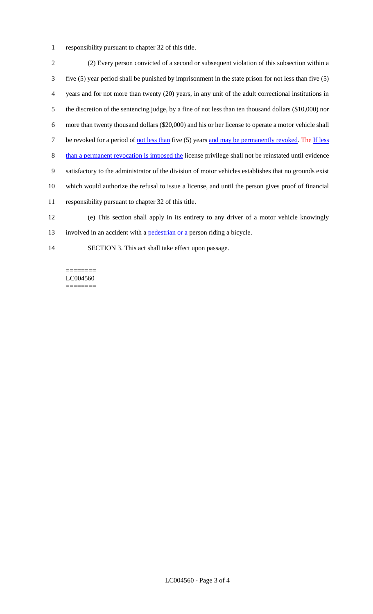responsibility pursuant to chapter 32 of this title.

 (2) Every person convicted of a second or subsequent violation of this subsection within a five (5) year period shall be punished by imprisonment in the state prison for not less than five (5) years and for not more than twenty (20) years, in any unit of the adult correctional institutions in the discretion of the sentencing judge, by a fine of not less than ten thousand dollars (\$10,000) nor more than twenty thousand dollars (\$20,000) and his or her license to operate a motor vehicle shall 7 be revoked for a period of not less than five (5) years and may be permanently revoked. The If less 8 than a permanent revocation is imposed the license privilege shall not be reinstated until evidence satisfactory to the administrator of the division of motor vehicles establishes that no grounds exist which would authorize the refusal to issue a license, and until the person gives proof of financial responsibility pursuant to chapter 32 of this title. (e) This section shall apply in its entirety to any driver of a motor vehicle knowingly

13 involved in an accident with a pedestrian or a person riding a bicycle.

SECTION 3. This act shall take effect upon passage.

======== LC004560 ========